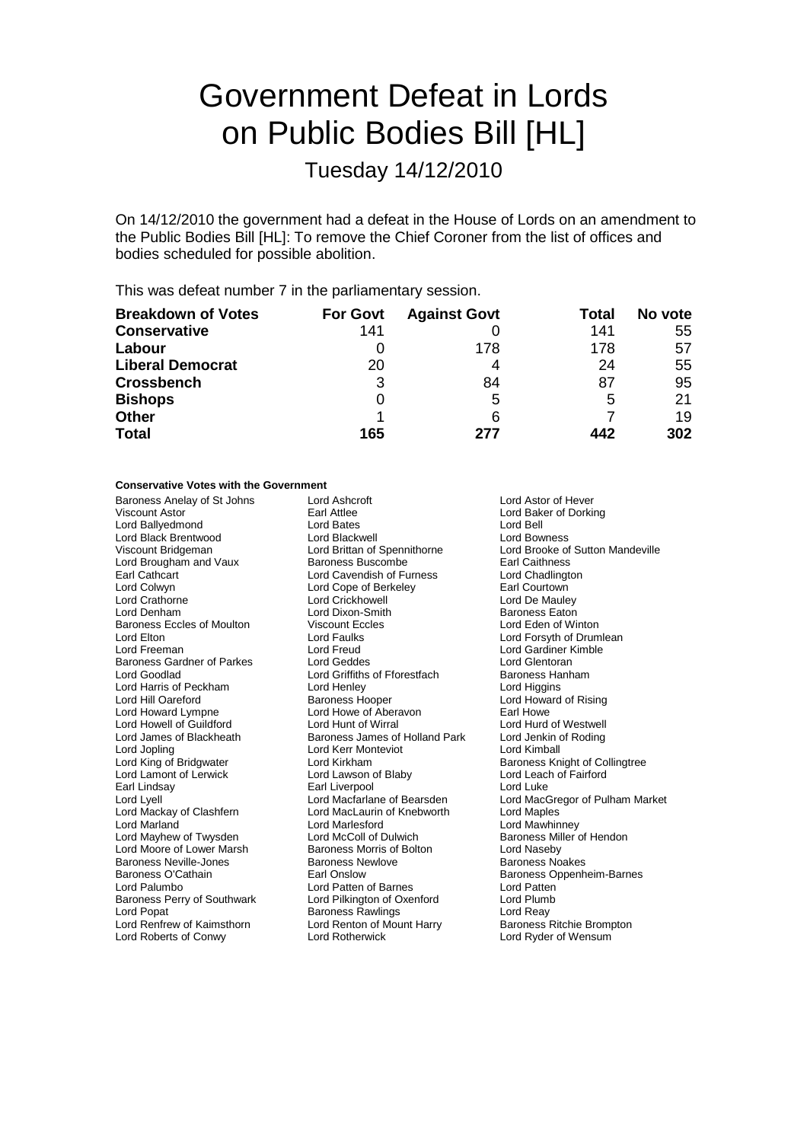# Government Defeat in Lords on Public Bodies Bill [HL]

Tuesday 14/12/2010

On 14/12/2010 the government had a defeat in the House of Lords on an amendment to the Public Bodies Bill [HL]: To remove the Chief Coroner from the list of offices and bodies scheduled for possible abolition.

This was defeat number 7 in the parliamentary session.

| <b>Breakdown of Votes</b> | <b>For Govt</b> | <b>Against Govt</b> | Total | No vote |
|---------------------------|-----------------|---------------------|-------|---------|
| <b>Conservative</b>       | 141             |                     | 141   | 55      |
| Labour                    |                 | 178                 | 178   | 57      |
| <b>Liberal Democrat</b>   | 20              | 4                   | 24    | 55      |
| <b>Crossbench</b>         | 3               | 84                  | 87    | 95      |
| <b>Bishops</b>            | O               | 5                   | 5     | 21      |
| <b>Other</b>              |                 | 6                   |       | 19      |
| <b>Total</b>              | 165             | 277                 | 442   | 302     |

### **Conservative Votes with the Government**

Viscount Astor **Examber 19 Earl Attlee**<br>
Lord Ballyedmond **Lord Bates**<br>
Lord Ballyedmond **Early Example 20** Lord Bates Lord Ballyedmond Lord Bates Lord Bell Lord Black Brentwood Viscount Bridgeman Lord Brittan of Spennithorne Lord Brooke of Sutton Mandeville Lord Brougham and Vaux Baroness Buscombe Earl Caithness Earl Cathcart **Exercise Cathcart** Lord Cavendish of Furness **Lord Chadlington**<br>
Lord Collwyn **Lord Cope of Berkelev Lord Countown** Lord Crathorne Lord Crickhowell Lord De Mauley Lord Denham Lord Dixon-Smith Baroness Eaton Baroness Eccles of Moulton Viscount Eccles Lord Eden of Winton<br>
Lord Flood Cord English Lord Faults Lord Example 2014 For System Cord For Lord For System of Drum Lord Elton Lord Faulks Lord Forsyth of Drumlean Lord Freeman Lord Freud Lord Gardiner Kimble Baroness Gardner of Parkes Lord Geddes Lord Gentoran<br>
Lord Goodlad Cord Griffiths of Fforestfach Baroness Hanham Lord Harris of Peckham Lord Henley Lord Higgins Lord Hill Oareford **Baroness Hooper Baroness Hooper** Lord Howard of Rising Lord Howard Lympne Lord Howe of Aberavon<br>
Lord Howall of Guildford Lord Hunt of Wirral Lord Hund of Westwell Lord Howell of Guildford Lord James of Blackheath Baroness James of Holland Park Lord Jenkin of Roding<br>
Lord Jopling Lord Cord Kerr Monteviot Lord Kimball Lord Jopling<br>
Lord King of Bridgwater<br>
Lord Kirkham Lord Lamont of Lerwick Lord Lawson of Blaby Lord Leach of Fairford<br>
Earl Lindsay Carl Liverpool Carl Liverpool Lord Luke Lord Lyell Lord Macfarlane of Bearsden Lord MacGregor of Pulham Market<br>
Lord Mackay of Clashfern Lord Maclaurin of Knebworth Lord Manles Lord Marland **Communist Communist Communist Communist Communist Communist Communist Communist Communist Communist Communist Communist Communist Communist Communist Communist Communist Communist Communist Communist Communis** Lord Moore of Lower Marsh Baroness Morris of Bolton Lord Naseby Baroness Neville-Jones Baroness O'Cathain Earl Onslow Baroness Oppenheim-Barnes Lord Palumbo **Lord Patten of Barnes** Lord Patten<br>
Baroness Perry of Southwark Lord Pilkington of Oxenford Lord Plumb Baroness Perry of Southwark Lord Pilkington of Oxenford Lord Plumb<br>Lord Popat Lord Reay Baroness Rawlings Lord Reay Lord Renfrew of Kaimsthorn **Lord Renton of Mount Harry Baroness Ritchie Brompton** 

Baroness Anelay of St Johns Lord Ashcroft **Lorges Anelay of St Johns Lord Astor Communisty** Lord Astor of Hever Lord Cope of Berkeley<br>Lord Crickhowell Lord Griffiths of Fforestfach Earl Liverpool<br>
Lord Macfarlane of Bearsden<br>
Lord Mac Lord MacLaurin of Knebworth Baroness Rawlings Lord Roberts of Conwy Lord Rotherwick Lord Ryder of Wensum

Baroness Knight of Collingtree Baroness Miller of Hendon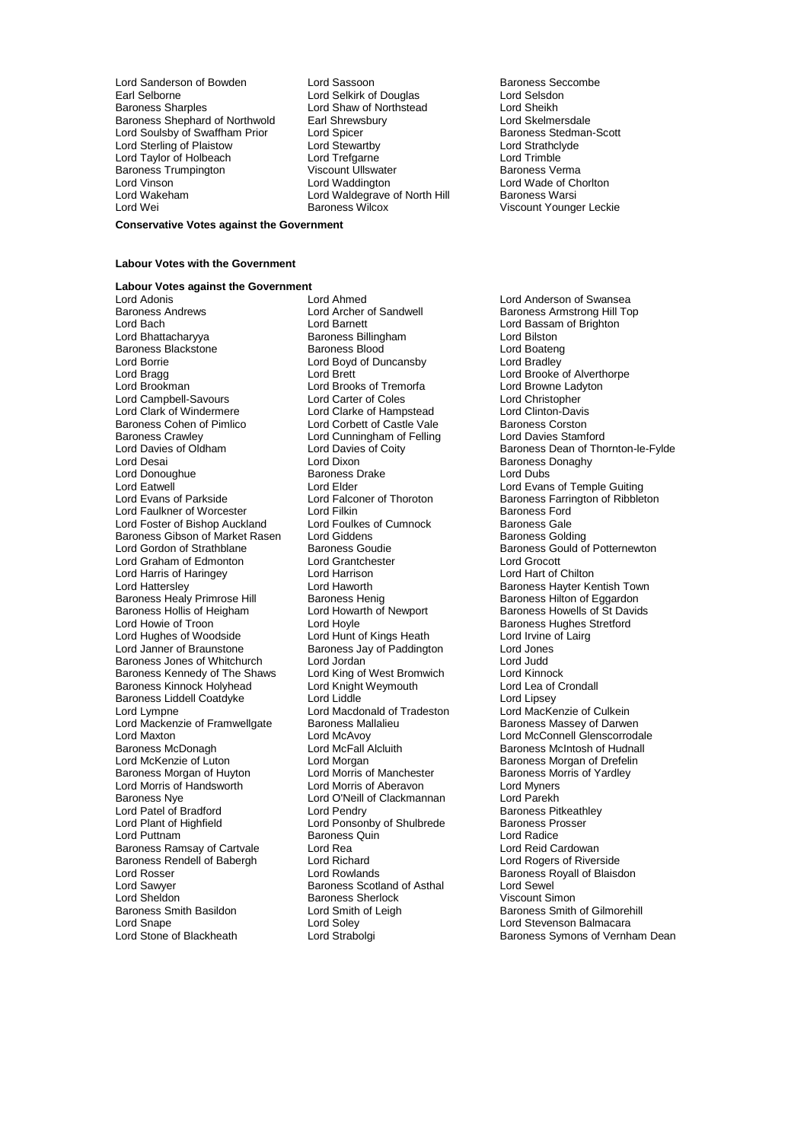Lord Sanderson of Bowden Lord Sassoon Corporation Baroness Seccombe<br>
Lord Selsdon Lord Selsink of Douglas Lord Selsdon Earl Selborne **Lord Selkirk of Douglas** Lord Selsdon<br>
Baroness Sharples **Lord Shaw of Northstead** Lord Sheikh Baroness Shephard of Northwold Earl Shrewsbury Lord Skelmersdale<br>
Lord Soulsby of Swaffham Prior Lord Spicer Lord Stelmers Stedman-Scott Lord Soulsby of Swaffham Prior Lord Spicer<br>
Lord Stewarthy Cord Stewarth Cord Stewarth Lord Strathclyde<br>
Lord Strathclyde Lord Sterling of Plaistow Lord Stewartby Lord Strathcly<br>
Lord Taylor of Holbeach Lord Trefgarne Lord Trefgarne Lord Trimble Lord Taylor of Holbeach Lord Trefgarne Lord Trimble Baroness Trumpington **Communist Communist Viscount Ullswater** Communist Communist Communist Communist Communist Co<br>
Baroness Verman Lord Waddington<br>
Lord Vinson Lord Vinson **Lord Waddington** Lord Water Lord Wade of Chorlton Lord Wade of Chorlton Lord Wade of Chorlton Lord Waldegrave of North Hill Baroness Warsi

Lord Shaw of Northstead Lord Sheikh<br>Earl Shrewsbury Lord Skelmersdale Lord Waldegrave of North Hill Lord Wei **Baroness Wilcox Baroness Wilcox** Viscount Younger Leckie

#### **Conservative Votes against the Government**

### **Labour Votes with the Government**

### **Labour Votes against the Government**

Baroness Andrews **Example 2** Lord Archer of Sandwell **Baroness Armstrong Hill Top**<br>
Lord Barcher Lord Barnett Lord Barnett Lord Bassam of Brighton Lord Bhattacharyya **Baroness Billingham** Lord Bilston<br>Baroness Blackstone **Baroness Blood** Baroness Blood Lord Boateng Baroness Blackstone Baroness Blood Lord Boateng<br>
Lord Boyd of Duncansby Lord Bradley Lord Borrie **Lord Boyd of Duncansby**<br>
Lord Brada **Lord Brett** Lord Brookman Lord Brooks of Tremorfa Lord Campbell-Savours Lord Carter of Coles Lord Christopher Lord Clark of Windermere Lord Clarke of Hampstead Lord Clinton-Davis Baroness Cohen of Pimlico Lord Corbett of Castle Vale Baroness Corston<br>Baroness Crawley Lord Cunningham of Felling Lord Davies Stamford<br>Lord Davies of Oldham Lord Davies of Coity Baroness Dean of Tho Lord Donoughue Baroness Drake Lord Dubs Lord Eatwell و Lord Elder Lord Elder Lord Evans of Temple Guiting<br>Lord Evans of Parkside Lord Falconer of Thoroton Baroness Farrington of Ribble Lord Faulkner of Worcester Lord Filkin<br>Lord Foster of Bishop Auckland Lord Foulkes of Cumnock Lord Foster of Bishop Auckland Lord Foulkes of Cumnock Baroness Gale<br>Baroness Gibson of Market Rasen Lord Giddens Colding Baroness Gibson of Market Rasen Lord Giddens<br>Lord Gordon of Strathblane Baroness Goudie Lord Graham of Edmonton Lord Grantchester Lord Grocott Lord Harris of Haringey **Lord Harrison**<br>
Lord Hatterslev **Lord Haworth** Baroness Healy Primrose Hill Baroness Hollis of Heigham Lord Howarth of Newport Baroness Howells of St Davids Lord Howie of Troon **Lord Hoyle** Lord Hoyle **Baroness Hughes Stretford**<br>
Lord Hughes of Woodside **Baroness Hughes Corp.** Lord Hunt of Kings Heath Lord Irvine of Lairg Lord Hughes of Woodside Lord Hunt of Kings Heath Lord Irvine of Lairg Baroness Jones of Whitchurch Lord Jordan Lord Judd<br>
Baroness Kennedy of The Shaws Lord King of West Bromwich Lord Kinnock Baroness Kennedy of The Shaws Lord King of West Bromwich Lord Kinnock<br>Baroness Kinnock Holyhead Lord Knight Weymouth Lord Lea of Crondall Baroness Kinnock Holyhead Baroness Liddell Coatdyke Lord Liddle Lord Liddle Lord Lipsey<br>
Lord Lympne Lord Macdonald of Tradeston Lord MacKenzie of Culkein Lord Lympne Lord Macdonald of Tradeston Lord MacKenzie of Culkein<br>Lord Mackenzie of Framwellgate Baroness Mallalieu Baroness Massey of Darwen Lord Mackenzie of Framwellgate Baroness Ma<br>Lord Maxton Baroness Ma Lord Maxton Lord McConnell Glenscorrodale<br>
Baroness McDonagh Lord McCall Alcluith Lord McConnell Glenscorrodale<br>
Lord McFall Alcluith Lord McFall Alcluith Baroness McIntosh of Hudnall Lord McKenzie of Luton **Lord Morgan** Lord Morgan Charoless Morgan of Drefelin<br>Baroness Morgan of Huvton Lord Morris of Manchester **Baroness Morris of Yardle**v Baroness Morgan of Huyton Lord Morris of Manchester Baroness Mc<br>Lord Morris of Handsworth Lord Morris of Aberavon Lord Myners Lord Morris of Handsworth Baroness Nye Lord O'Neill of Clackmannan Lord Parekh Lord Patel of Bradford **Lord Pendry** Lord Pendry **Baroness Pitkeath**<br>
Lord Plant of Highfield **Baroness Prosser** Lord Plant of Highfield **Lord Ponsonby of Shulbrede** Baroness Provent Baroness Provent Baroness Quin<br>
Baroness Quin<br>
Lord Radice Baroness Ramsay of Cartvale Lord Rea Lord Rea Lord Reid Cardowan<br>
Baroness Rendell of Babergh Lord Richard Corp Lord Rogers of Riverside Baroness Rendell of Babergh Lord Richard<br>Lord Rosser Lord Rowlands Lord Sawyer **Baroness Scotland of Asthal** Lord Sewel<br>
Lord Sheldon **Baroness Sherlock** Baroness Sherlock **Martin** Viscount Simon Lord Sheldon **Baroness Sherlock**<br>
Baroness Smith Basildon **Baroness Sherlock** Cord Smith of Leigh Lord Snape Lord Soley Lord Stevenson Balmacara

Lord Adonis Lord Ahmed Lord Anderson of Swansea Lord Barnett<br>
Baroness Billingham<br>
Lord Bilston<br>
Lord Bilston Lord Cunningham of Felling<br>Lord Davies of Coity Lord Dixon **Baroness Donaghy**<br>Baroness Drake **Baroness Donaghy** Baroness Jay of Paddington Baroness Quin Lord Stone of Blackheath **Lord Strabolgi** Baroness Symons of Vernham Dean

Lord Brooke of Alverthorpe<br>Lord Browne Ladyton Lord Davies of Oldham Lord Davies of Coity Baroness Dean of Thornton-le-Fylde<br>
Lord Desain Lord Dixon Lord Dixon<br>
Baroness Donaghy Lord Falconer of Thoroton **Baroness Farrington of Ribbleton**<br> **Baroness Ford** Baroness Ford Baroness Goudie Baroness Gould of Potternewton<br>Lord Grantchester Baroness Gould of Potternewton Lord Haworth **Baroness Hayter Kentish Town**<br>
Baroness Henig<br>
Lord Howarth of Newport **Baroness Howells of St Davids** Baroness McIntosh of Hudnall Baroness Royall of Blaisdon<br>Lord Sewel Lord Smith of Leigh Baroness Smith of Gilmorehill<br>
Lord Soley<br>
Lord Stevenson Balmacara